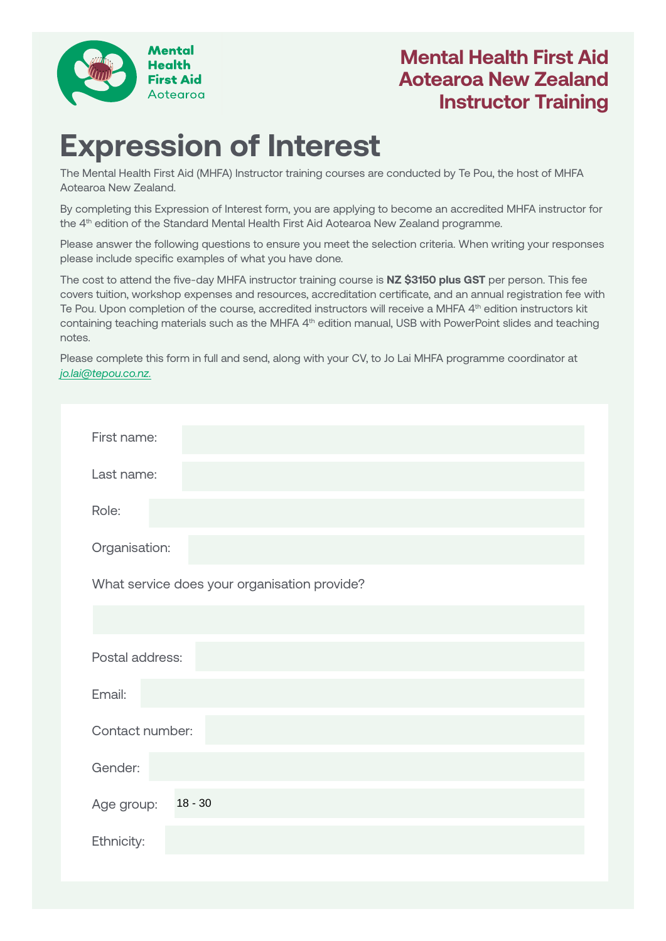

## **Mental Health First Aid Aotearoa New Zealand Instructor Training**

# **Expression of Interest**

The Mental Health First Aid (MHFA) Instructor training courses are conducted by Te Pou, the host of MHFA Aotearoa New Zealand.

By completing this Expression of Interest form, you are applying to become an accredited MHFA instructor for the 4<sup>th</sup> edition of the Standard Mental Health First Aid Aotearoa New Zealand programme.

Please answer the following questions to ensure you meet the selection criteria. When writing your responses please include specific examples of what you have done.

The cost to attend the five-day MHFA instructor training course is **NZ \$3150 plus GST** per person. This fee covers tuition, workshop expenses and resources, accreditation certificate, and an annual registration fee with Te Pou. Upon completion of the course, accredited instructors will receive a MHFA 4<sup>th</sup> edition instructors kit containing teaching materials such as the MHFA 4<sup>th</sup> edition manual, USB with PowerPoint slides and teaching notes.

Please complete this form in full and send, along with your CV, to Jo Lai MHFA programme coordinator at *[jo.lai@tepou.co.nz](mailto:jo.lai@tepou.co.nz).*

| First name:                                  |
|----------------------------------------------|
| Last name:                                   |
| Role:                                        |
| Organisation:                                |
| What service does your organisation provide? |
|                                              |
| Postal address:                              |
| Email:                                       |
| Contact number:                              |
| Gender:                                      |
| $18 - 30$<br>Age group:                      |
| Ethnicity:                                   |